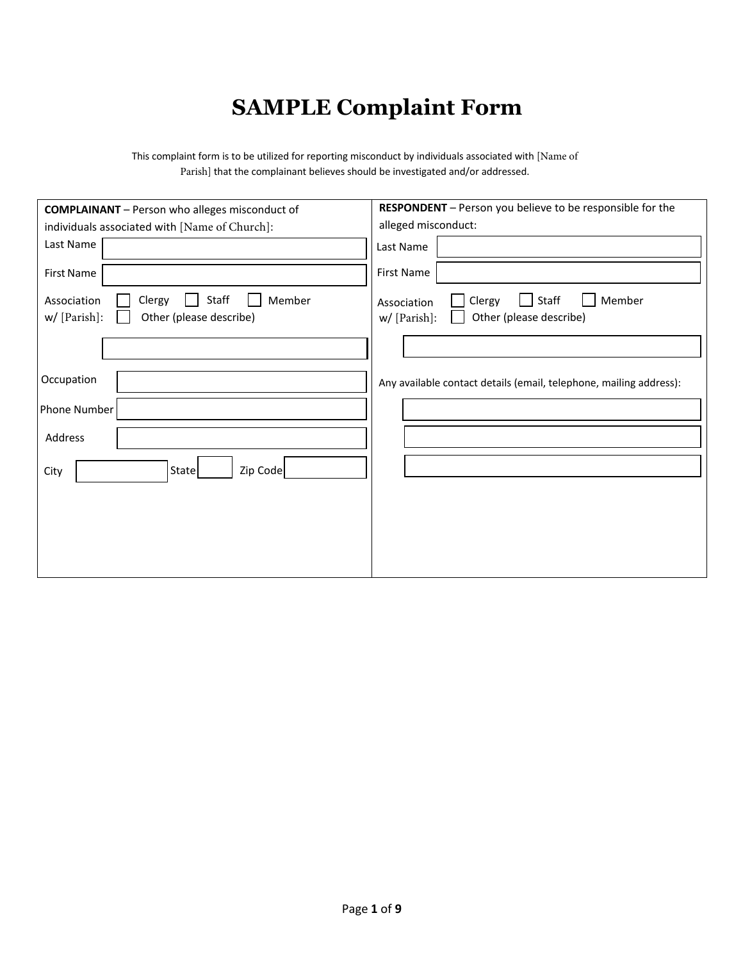## **SAMPLE Complaint Form**

This complaint form is to be utilized for reporting misconduct by individuals associated with [Name of Parish] that the complainant believes should be investigated and/or addressed.

| <b>COMPLAINANT</b> - Person who alleges misconduct of                               | RESPONDENT - Person you believe to be responsible for the                             |  |  |  |
|-------------------------------------------------------------------------------------|---------------------------------------------------------------------------------------|--|--|--|
| individuals associated with [Name of Church]:                                       | alleged misconduct:                                                                   |  |  |  |
| Last Name                                                                           | Last Name                                                                             |  |  |  |
| <b>First Name</b>                                                                   | First Name                                                                            |  |  |  |
| Staff<br>Member<br>Clergy<br>Association<br>Other (please describe)<br>w/ [Parish]: | Member<br>Staff<br>Clergy<br>Association<br>Other (please describe)<br>$w/$ [Parish]: |  |  |  |
|                                                                                     |                                                                                       |  |  |  |
| Occupation                                                                          | Any available contact details (email, telephone, mailing address):                    |  |  |  |
| Phone Number                                                                        |                                                                                       |  |  |  |
| Address                                                                             |                                                                                       |  |  |  |
| State<br>Zip Code<br>City                                                           |                                                                                       |  |  |  |
|                                                                                     |                                                                                       |  |  |  |
|                                                                                     |                                                                                       |  |  |  |
|                                                                                     |                                                                                       |  |  |  |
|                                                                                     |                                                                                       |  |  |  |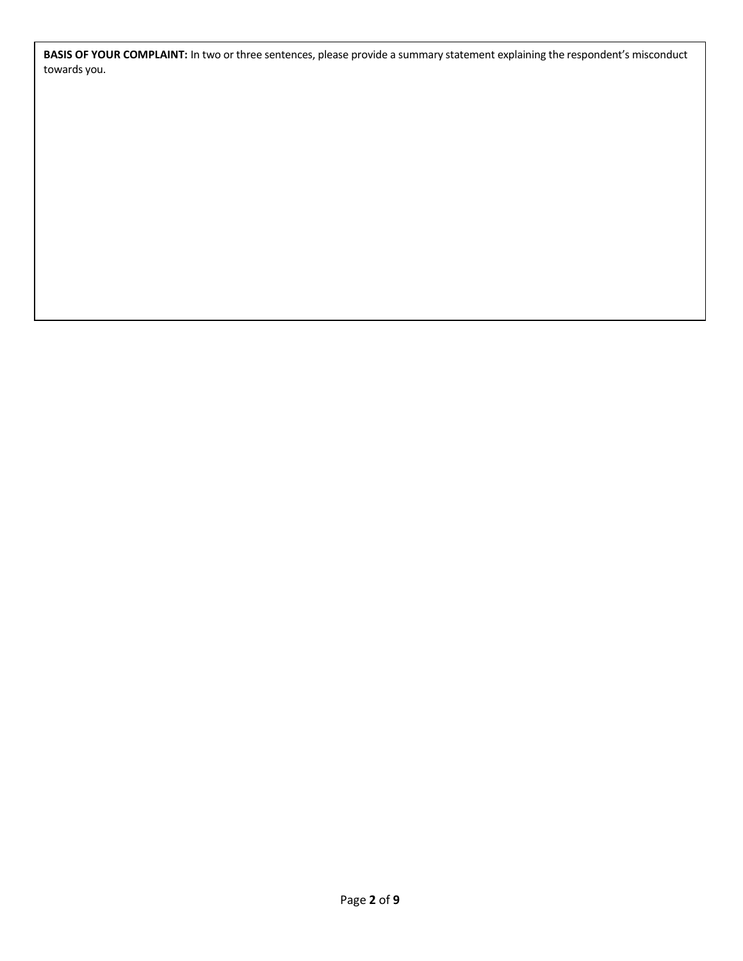**BASIS OF YOUR COMPLAINT:** In two or three sentences, please provide a summary statement explaining the respondent's misconduct towards you.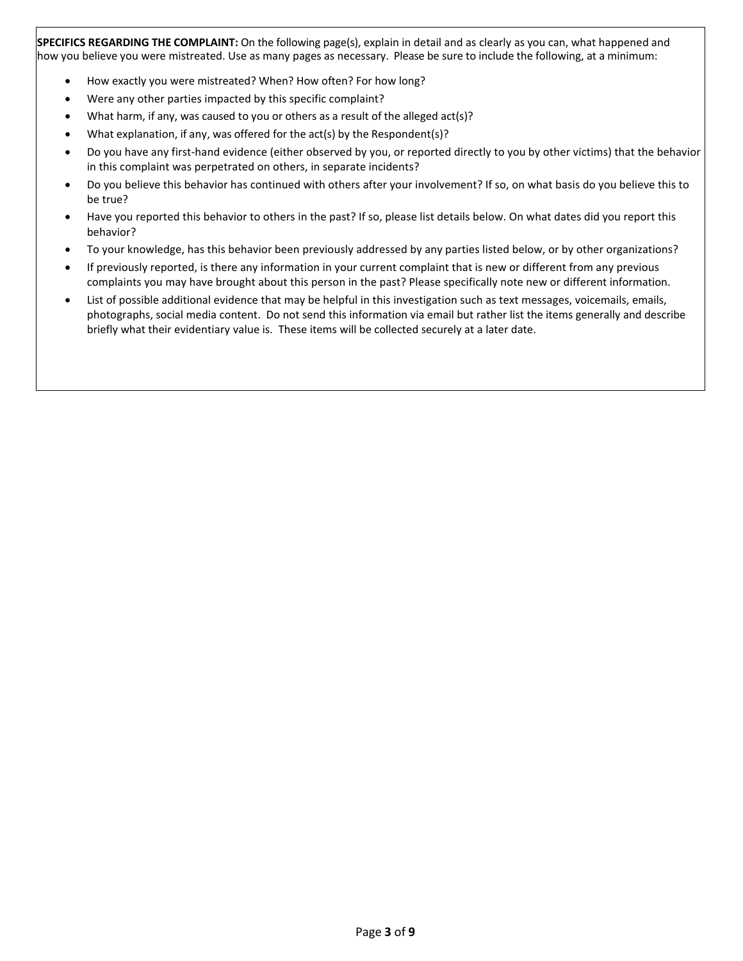**SPECIFICS REGARDING THE COMPLAINT:** On the following page(s), explain in detail and as clearly as you can, what happened and how you believe you were mistreated. Use as many pages as necessary. Please be sure to include the following, at a minimum:

- How exactly you were mistreated? When? How often? For how long?
- Were any other parties impacted by this specific complaint?
- What harm, if any, was caused to you or others as a result of the alleged act(s)?
- What explanation, if any, was offered for the act(s) by the Respondent(s)?
- Do you have any first-hand evidence (either observed by you, or reported directly to you by other victims) that the behavior in this complaint was perpetrated on others, in separate incidents?
- Do you believe this behavior has continued with others after your involvement? If so, on what basis do you believe this to be true?
- Have you reported this behavior to others in the past? If so, please list details below. On what dates did you report this behavior?
- To your knowledge, has this behavior been previously addressed by any parties listed below, or by other organizations?
- If previously reported, is there any information in your current complaint that is new or different from any previous complaints you may have brought about this person in the past? Please specifically note new or different information.
- List of possible additional evidence that may be helpful in this investigation such as text messages, voicemails, emails, photographs, social media content. Do not send this information via email but rather list the items generally and describe briefly what their evidentiary value is. These items will be collected securely at a later date.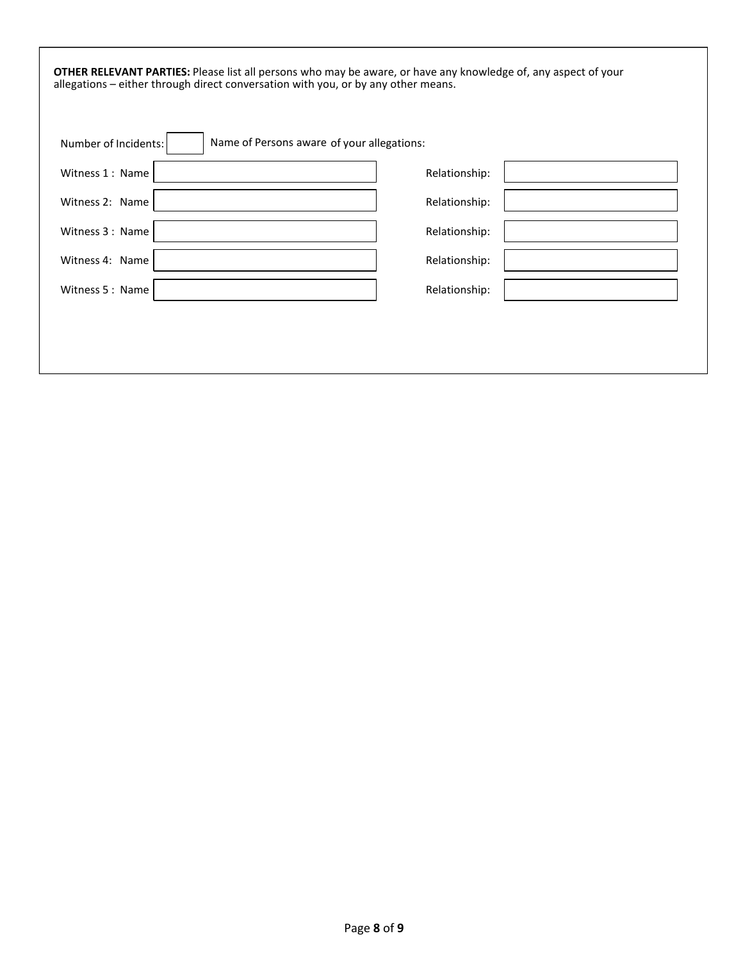| <b>OTHER RELEVANT PARTIES:</b> Please list all persons who may be aware, or have any knowledge of, any aspect of your<br>allegations - either through direct conversation with you, or by any other means. |               |
|------------------------------------------------------------------------------------------------------------------------------------------------------------------------------------------------------------|---------------|
| Name of Persons aware of your allegations:<br>Number of Incidents:                                                                                                                                         |               |
| Witness 1: Name                                                                                                                                                                                            | Relationship: |
| Witness 2: Name                                                                                                                                                                                            | Relationship: |
| Witness 3: Name                                                                                                                                                                                            | Relationship: |
| Witness 4: Name                                                                                                                                                                                            | Relationship: |
| Witness 5: Name                                                                                                                                                                                            | Relationship: |
|                                                                                                                                                                                                            |               |
|                                                                                                                                                                                                            |               |
|                                                                                                                                                                                                            |               |